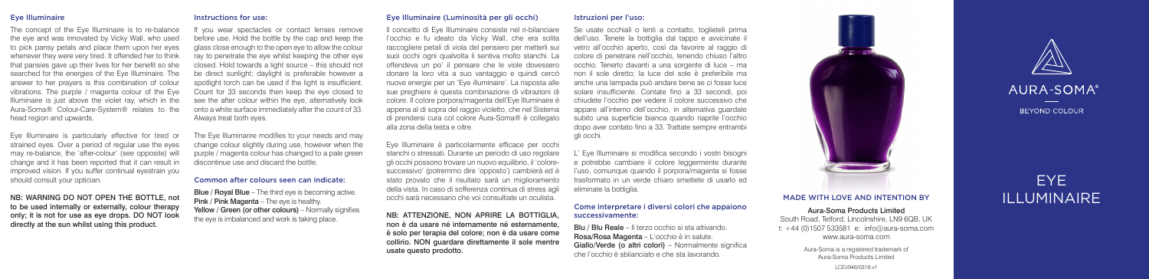## Eye Illuminaire

#### The concept of the Eye Illuminaire is to re-balance the eye and was innovated by Vicky Wall, who used to pick pansy petals and place them upon her eyes whenever they were very tired. It offended her to think that pansies gave up their lives for her benefit so she searched for the energies of the Eye Illuminaire. The answer to her prayers is this combination of colour vibrations. The purple / magenta colour of the Eye Illuminaire is just above the violet ray, which in the Aura-Soma® Colour-Care-System® relates to the head region and upwards.

Eye Illuminaire is particularly effective for tired or strained eyes. Over a period of regular use the eyes may re-balance, the 'after-colour' (see opposite) will change and it has been reported that it can result in improved vision. If you suffer continual eyestrain you should consult your optician.

NB: WARNING DO NOT OPEN THE BOTTLE, not to be used internally or externally, colour therapy only; it is not for use as eye drops. DO NOT look directly at the sun whilst using this product.

#### Instructions for use:

If you wear spectacles or contact lenses remove before use. Hold the bottle by the cap and keep the glass close enough to the open eye to allow the colour ray to penetrate the eye whilst keeping the other eye closed. Hold towards a light source – this should not be direct sunlight; daylight is preferable however a spotlight torch can be used if the light is insufficient. Count for 33 seconds then keep the eye closed to see the after colour within the eye, alternatively look onto a white surface immediately after the count of 33. Always treat both eyes.

The Eye Illuminarire modifies to your needs and may change colour slightly during use, however when the purple / magenta colour has changed to a pale green discontinue use and discard the bottle.

#### Common after colours seen can indicate:

Blue / Royal Blue – The third eye is becoming active. Pink / Pink Magenta – The eye is healthy. Yellow / Green (or other colours) – Normally signifies the eye is imbalanced and work is taking place.

## Eye Illuminaire (Luminosità per gli occhi)

Il concetto di Eye Illuminaire consiste nel ri-bilanciare l'occhio e fu ideato da Vicky Wall, che era solita raccogliere petali di viola del pensiero per metterli sui suoi occhi ogni qualvolta li sentiva molto stanchi. La offendeva un po' il pensare che le viole dovessero donare la loro vita a suo vantaggio e quindi cercò nuove energie per un 'Eye illuminaire'. La risposta alle sue preghiere è questa combinazione di vibrazioni di colore. Il colore porpora/magenta dell'Eye Illuminaire è appena al di sopra del raggio violetto, che nel Sistema di prendersi cura col colore Aura-Soma® è collegato alla zona della testa e oltre.

Eye Illuminaire è particolarmente efficace per occhi stanchi o stressati. Durante un periodo di uso regolare gli occhi possono trovare un nuovo equilibrio, il 'coloresuccessivo' (potremmo dire 'opposto') cambierà ed è stato provato che il risultato sarà un miglioramento della vista. In caso di sofferenza continua di stress agli occhi sarà necessario che voi consultiate un oculista.

NB: ATTENZIONE, NON APRIRE LA BOTTIGLIA, non è da usare né internamente né esternamente, è solo per terapia del colore; non è da usare come collirio. NON guardare direttamente il sole mentre usate questo prodotto.

## Istruzioni per l'uso:

Se usate occhiali o lenti a contatto, toglieteli prima dell'uso. Tenete la bottiglia dal tappo e avvicinate il vetro all'occhio aperto, così da favorire al raggio di colore di penetrare nell'occhio, tenendo chiuso l'altro occhio. Tenerlo davanti a una sorgente di luce – ma non il sole diretto; la luce del sole è preferibile ma anche una lampada può andare bene se ci fosse luce solare insufficiente. Contate fino a 33 secondi, poi chiudete l'occhio per vedere il colore successivo che appare all'interno dell'occhio, in alternativa guardate subito una superficie bianca quando riaprite l'occhio dopo aver contato fino a 33. Trattate sempre entrambi gli occhi.

L' Eye Illuminaire si modifica secondo i vostri bisogni e potrebbe cambiare il colore leggermente durante l'uso, comunque quando il porpora/magenta si fosse trasformato in un verde chiaro smettete di usarlo ed eliminate la bottiglia.

#### Come interpretare i diversi colori che appaiono successivamente:

Blu / Blu Reale – Il terzo occhio si sta attivando. Rosa/Rosa Magenta – L'occhio è in salute. Giallo/Verde (o altri colori) – Normalmente significa che l'occhio è sbilanciato e che sta lavorando.



# MADE WITH LOVE AND INTENTION BY **ILLUMINAIRE**

Aura-Soma Products Limited South Road, Tetford, Lincolnshire, LN9 6QB, UK t: +44 (0)1507 533581 e: info@aura-soma.com www.aura-soma.com

> Aura-Soma is a registered trademark of Aura-Soma Products Limited

AURA-SOMA<sup>®</sup> BEYOND COLOUR

# EYE

LCEI/946/0319.v1